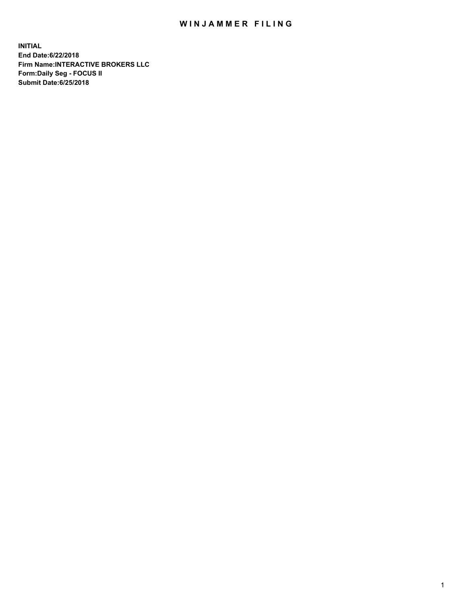## WIN JAMMER FILING

**INITIAL End Date:6/22/2018 Firm Name:INTERACTIVE BROKERS LLC Form:Daily Seg - FOCUS II Submit Date:6/25/2018**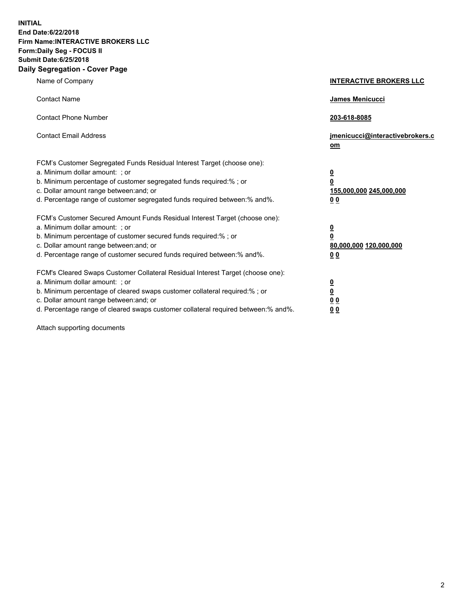**INITIAL End Date:6/22/2018 Firm Name:INTERACTIVE BROKERS LLC Form:Daily Seg - FOCUS II Submit Date:6/25/2018 Daily Segregation - Cover Page**

| Name of Company                                                                                                                                                                                                                                                                                                                | <b>INTERACTIVE BROKERS LLC</b>                                                                  |
|--------------------------------------------------------------------------------------------------------------------------------------------------------------------------------------------------------------------------------------------------------------------------------------------------------------------------------|-------------------------------------------------------------------------------------------------|
| <b>Contact Name</b>                                                                                                                                                                                                                                                                                                            | James Menicucci                                                                                 |
| <b>Contact Phone Number</b>                                                                                                                                                                                                                                                                                                    | 203-618-8085                                                                                    |
| <b>Contact Email Address</b>                                                                                                                                                                                                                                                                                                   | jmenicucci@interactivebrokers.c<br>om                                                           |
| FCM's Customer Segregated Funds Residual Interest Target (choose one):<br>a. Minimum dollar amount: ; or<br>b. Minimum percentage of customer segregated funds required:% ; or<br>c. Dollar amount range between: and; or<br>d. Percentage range of customer segregated funds required between:% and%.                         | $\overline{\mathbf{0}}$<br>$\overline{\mathbf{0}}$<br>155,000,000 245,000,000<br>0 <sub>0</sub> |
| FCM's Customer Secured Amount Funds Residual Interest Target (choose one):<br>a. Minimum dollar amount: ; or<br>b. Minimum percentage of customer secured funds required:% ; or<br>c. Dollar amount range between: and; or<br>d. Percentage range of customer secured funds required between:% and%.                           | $\overline{\mathbf{0}}$<br>0<br>80,000,000 120,000,000<br>0 <sub>0</sub>                        |
| FCM's Cleared Swaps Customer Collateral Residual Interest Target (choose one):<br>a. Minimum dollar amount: ; or<br>b. Minimum percentage of cleared swaps customer collateral required:% ; or<br>c. Dollar amount range between: and; or<br>d. Percentage range of cleared swaps customer collateral required between:% and%. | $\overline{\mathbf{0}}$<br><u>0</u><br>$\underline{0}$ $\underline{0}$<br>00                    |

Attach supporting documents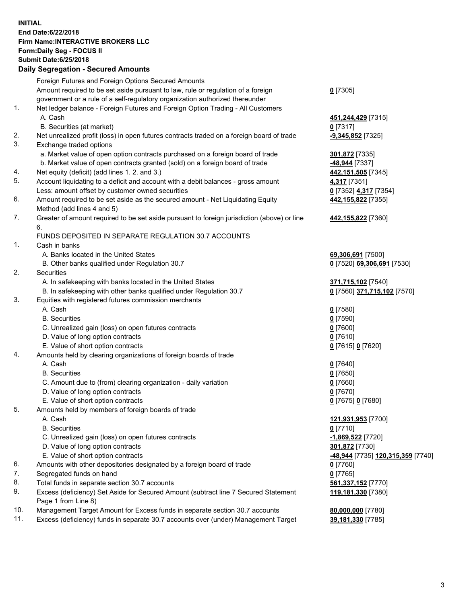## **INITIAL End Date:6/22/2018 Firm Name:INTERACTIVE BROKERS LLC Form:Daily Seg - FOCUS II Submit Date:6/25/2018 Daily Segregation - Secured Amounts**

|                | Daily Ocglegation - Occarea Anioants                                                              |                                   |
|----------------|---------------------------------------------------------------------------------------------------|-----------------------------------|
|                | Foreign Futures and Foreign Options Secured Amounts                                               |                                   |
|                | Amount required to be set aside pursuant to law, rule or regulation of a foreign                  | $0$ [7305]                        |
|                | government or a rule of a self-regulatory organization authorized thereunder                      |                                   |
| $\mathbf{1}$ . | Net ledger balance - Foreign Futures and Foreign Option Trading - All Customers                   |                                   |
|                | A. Cash                                                                                           | 451, 244, 429 [7315]              |
|                | B. Securities (at market)                                                                         | $0$ [7317]                        |
| 2.             | Net unrealized profit (loss) in open futures contracts traded on a foreign board of trade         | $-9,345,852$ [7325]               |
| 3.             | Exchange traded options                                                                           |                                   |
|                | a. Market value of open option contracts purchased on a foreign board of trade                    | 301,872 [7335]                    |
|                | b. Market value of open contracts granted (sold) on a foreign board of trade                      | -48,944 [7337]                    |
| 4.             | Net equity (deficit) (add lines 1. 2. and 3.)                                                     | 442,151,505 [7345]                |
| 5.             | Account liquidating to a deficit and account with a debit balances - gross amount                 | 4,317 [7351]                      |
|                | Less: amount offset by customer owned securities                                                  | 0 [7352] 4,317 [7354]             |
| 6.             | Amount required to be set aside as the secured amount - Net Liquidating Equity                    | 442, 155, 822 [7355]              |
|                | Method (add lines 4 and 5)                                                                        |                                   |
| 7.             | Greater of amount required to be set aside pursuant to foreign jurisdiction (above) or line<br>6. | 442,155,822 [7360]                |
|                | FUNDS DEPOSITED IN SEPARATE REGULATION 30.7 ACCOUNTS                                              |                                   |
| 1.             | Cash in banks                                                                                     |                                   |
|                | A. Banks located in the United States                                                             | 69,306,691 [7500]                 |
|                | B. Other banks qualified under Regulation 30.7                                                    | 0 [7520] 69,306,691 [7530]        |
| 2.             | Securities                                                                                        |                                   |
|                | A. In safekeeping with banks located in the United States                                         | 371,715,102 [7540]                |
|                | B. In safekeeping with other banks qualified under Regulation 30.7                                | 0 [7560] 371,715,102 [7570]       |
| 3.             | Equities with registered futures commission merchants                                             |                                   |
|                | A. Cash                                                                                           | $0$ [7580]                        |
|                | <b>B.</b> Securities                                                                              | $0$ [7590]                        |
|                | C. Unrealized gain (loss) on open futures contracts                                               | $0$ [7600]                        |
|                | D. Value of long option contracts                                                                 | $0$ [7610]                        |
|                | E. Value of short option contracts                                                                | 0 [7615] 0 [7620]                 |
| 4.             | Amounts held by clearing organizations of foreign boards of trade                                 |                                   |
|                | A. Cash                                                                                           | $Q$ [7640]                        |
|                | <b>B.</b> Securities                                                                              | $0$ [7650]                        |
|                | C. Amount due to (from) clearing organization - daily variation                                   | $0$ [7660]                        |
|                | D. Value of long option contracts                                                                 | $0$ [7670]                        |
|                | E. Value of short option contracts                                                                | 0 [7675] 0 [7680]                 |
| 5.             | Amounts held by members of foreign boards of trade                                                |                                   |
|                | A. Cash                                                                                           | 121,931,953 [7700]                |
|                | <b>B.</b> Securities                                                                              | $0$ [7710]                        |
|                | C. Unrealized gain (loss) on open futures contracts                                               | -1,869,522 [7720]                 |
|                | D. Value of long option contracts                                                                 | 301,872 [7730]                    |
|                | E. Value of short option contracts                                                                | -48,944 [7735] 120,315,359 [7740] |
| 6.             | Amounts with other depositories designated by a foreign board of trade                            | 0 [7760]                          |
| 7.             | Segregated funds on hand                                                                          | $0$ [7765]                        |
| 8.             | Total funds in separate section 30.7 accounts                                                     | 561,337,152 [7770]                |
| 9.             | Excess (deficiency) Set Aside for Secured Amount (subtract line 7 Secured Statement               | 119,181,330 [7380]                |
|                | Page 1 from Line 8)                                                                               |                                   |
| 10.            | Management Target Amount for Excess funds in separate section 30.7 accounts                       | 80,000,000 [7780]                 |
| 11.            | Excess (deficiency) funds in separate 30.7 accounts over (under) Management Target                | 39,181,330 [7785]                 |
|                |                                                                                                   |                                   |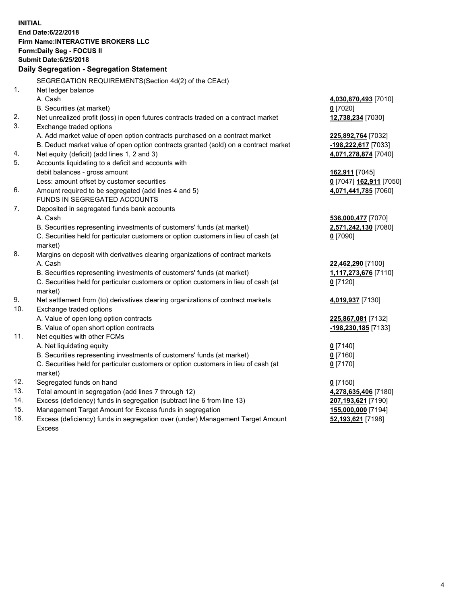**INITIAL End Date:6/22/2018 Firm Name:INTERACTIVE BROKERS LLC Form:Daily Seg - FOCUS II Submit Date:6/25/2018 Daily Segregation - Segregation Statement** SEGREGATION REQUIREMENTS(Section 4d(2) of the CEAct) 1. Net ledger balance A. Cash **4,030,870,493** [7010] B. Securities (at market) **0** [7020] 2. Net unrealized profit (loss) in open futures contracts traded on a contract market **12,738,234** [7030] 3. Exchange traded options A. Add market value of open option contracts purchased on a contract market **225,892,764** [7032] B. Deduct market value of open option contracts granted (sold) on a contract market **-198,222,617** [7033] 4. Net equity (deficit) (add lines 1, 2 and 3) **4,071,278,874** [7040] 5. Accounts liquidating to a deficit and accounts with debit balances - gross amount **162,911** [7045] Less: amount offset by customer securities **0** [7047] **162,911** [7050] 6. Amount required to be segregated (add lines 4 and 5) **4,071,441,785** [7060] FUNDS IN SEGREGATED ACCOUNTS 7. Deposited in segregated funds bank accounts A. Cash **536,000,477** [7070] B. Securities representing investments of customers' funds (at market) **2,571,242,130** [7080] C. Securities held for particular customers or option customers in lieu of cash (at market) **0** [7090] 8. Margins on deposit with derivatives clearing organizations of contract markets A. Cash **22,462,290** [7100] B. Securities representing investments of customers' funds (at market) **1,117,273,676** [7110] C. Securities held for particular customers or option customers in lieu of cash (at market) **0** [7120] 9. Net settlement from (to) derivatives clearing organizations of contract markets **4,019,937** [7130] 10. Exchange traded options A. Value of open long option contracts **225,867,081** [7132] B. Value of open short option contracts **-198,230,185** [7133] 11. Net equities with other FCMs A. Net liquidating equity **0** [7140] B. Securities representing investments of customers' funds (at market) **0** [7160] C. Securities held for particular customers or option customers in lieu of cash (at market) **0** [7170] 12. Segregated funds on hand **0** [7150] 13. Total amount in segregation (add lines 7 through 12) **4,278,635,406** [7180] 14. Excess (deficiency) funds in segregation (subtract line 6 from line 13) **207,193,621** [7190] 15. Management Target Amount for Excess funds in segregation **155,000,000** [7194] **52,193,621** [7198]

16. Excess (deficiency) funds in segregation over (under) Management Target Amount Excess